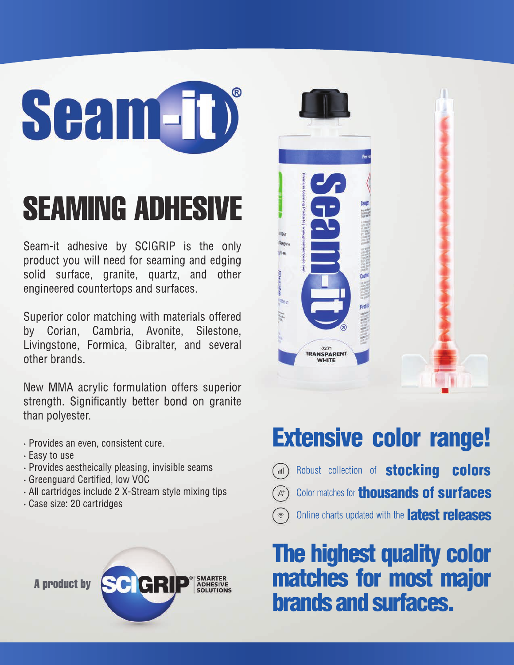# **Seam-TD**

## SEAMING ADHESIVE

Seam-it adhesive by SCIGRIP is the only product you will need for seaming and edging solid surface, granite, quartz, and other engineered countertops and surfaces.

Superior color matching with materials offered by Corian, Cambria, Avonite, Silestone, Livingstone, Formica, Gibralter, and several other brands.

New MMA acrylic formulation offers superior strength. Significantly better bond on granite than polyester.

- **·** Provides an even, consistent cure.
- **·** Easy to use
- **·** Provides aestheically pleasing, invisible seams
- **·** Greenguard Certified, low VOC
- **·** All cartridges include 2 X-Stream style mixing tips
- **·** Case size: 20 cartridges





## Extensive color range!

- Robust collection of **stocking colors**  $\left( \ln \right)$
- Color matches for **thousands of surfaces**  $A^+$
- Online charts updated with the **latest releases**

### The highest quality color matches for most major brands and surfaces.